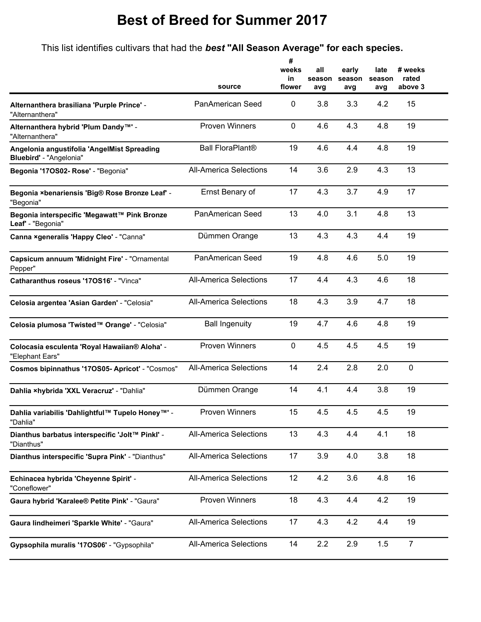## **Best of Breed for Summer 2017**

This list identifies cultivars that had the *best* **"All Season Average" for each species.**

|                                                                        |                               | #<br>weeks<br>in | all<br>season | early<br>season | late<br>season | # weeks<br>rated |
|------------------------------------------------------------------------|-------------------------------|------------------|---------------|-----------------|----------------|------------------|
|                                                                        | source                        | flower           | avg           | avg             | avg            | above 3          |
| Alternanthera brasiliana 'Purple Prince' -<br>"Alternanthera"          | PanAmerican Seed              | 0                | 3.8           | 3.3             | 4.2            | 15               |
| Alternanthera hybrid 'Plum Dandy™' -<br>"Alternanthera"                | <b>Proven Winners</b>         | $\mathbf 0$      | 4.6           | 4.3             | 4.8            | 19               |
| Angelonia angustifolia 'AngelMist Spreading<br>Bluebird' - "Angelonia" | <b>Ball FloraPlant®</b>       | 19               | 4.6           | 4.4             | 4.8            | 19               |
| Begonia '170S02- Rose' - "Begonia"                                     | <b>All-America Selections</b> | 14               | 3.6           | 2.9             | 4.3            | 13               |
| Begonia ×benariensis 'Big® Rose Bronze Leaf' -<br>"Begonia"            | Ernst Benary of               | 17               | 4.3           | 3.7             | 4.9            | 17               |
| Begonia interspecific 'Megawatt™ Pink Bronze<br>Leaf' - "Begonia"      | <b>PanAmerican Seed</b>       | 13               | 4.0           | 3.1             | 4.8            | 13               |
| Canna xgeneralis 'Happy Cleo' - "Canna"                                | Dümmen Orange                 | 13               | 4.3           | 4.3             | 4.4            | 19               |
| Capsicum annuum 'Midnight Fire' - "Ornamental<br>Pepper"               | <b>PanAmerican Seed</b>       | 19               | 4.8           | 4.6             | 5.0            | 19               |
| Catharanthus roseus '170S16' - "Vinca"                                 | <b>All-America Selections</b> | 17               | 4.4           | 4.3             | 4.6            | 18               |
| Celosia argentea 'Asian Garden' - "Celosia"                            | <b>All-America Selections</b> | 18               | 4.3           | 3.9             | 4.7            | 18               |
| Celosia plumosa 'Twisted™ Orange' - "Celosia"                          | <b>Ball Ingenuity</b>         | 19               | 4.7           | 4.6             | 4.8            | 19               |
| Colocasia esculenta 'Royal Hawaiian® Aloha' -<br>"Elephant Ears"       | <b>Proven Winners</b>         | $\mathbf 0$      | 4.5           | 4.5             | 4.5            | 19               |
| Cosmos bipinnathus '170S05- Apricot' - "Cosmos"                        | <b>All-America Selections</b> | 14               | 2.4           | 2.8             | 2.0            | $\mathbf 0$      |
| Dahlia xhybrida 'XXL Veracruz' - "Dahlia"                              | Dümmen Orange                 | 14               | 4.1           | 4.4             | 3.8            | 19               |
| Dahlia variabilis 'Dahlightful™ Tupelo Honey™' -<br>"Dahlia"           | Proven Winners                | 15               | 4.5           | 4.5             | 4.5            | 19               |
| Dianthus barbatus interspecific 'Jolt™ Pinkl' -<br>"Dianthus"          | <b>All-America Selections</b> | 13               | 4.3           | 4.4             | 4.1            | 18               |
| Dianthus interspecific 'Supra Pink' - "Dianthus"                       | <b>All-America Selections</b> | 17               | 3.9           | 4.0             | 3.8            | 18               |
| Echinacea hybrida 'Cheyenne Spirit' -<br>"Coneflower"                  | <b>All-America Selections</b> | 12               | 4.2           | 3.6             | 4.8            | 16               |
| Gaura hybrid 'Karalee® Petite Pink' - "Gaura"                          | Proven Winners                | 18               | 4.3           | 4.4             | 4.2            | 19               |
| Gaura lindheimeri 'Sparkle White' - "Gaura"                            | <b>All-America Selections</b> | 17               | 4.3           | 4.2             | 4.4            | 19               |
| Gypsophila muralis '170S06' - "Gypsophila"                             | <b>All-America Selections</b> | 14               | 2.2           | 2.9             | 1.5            | $\overline{7}$   |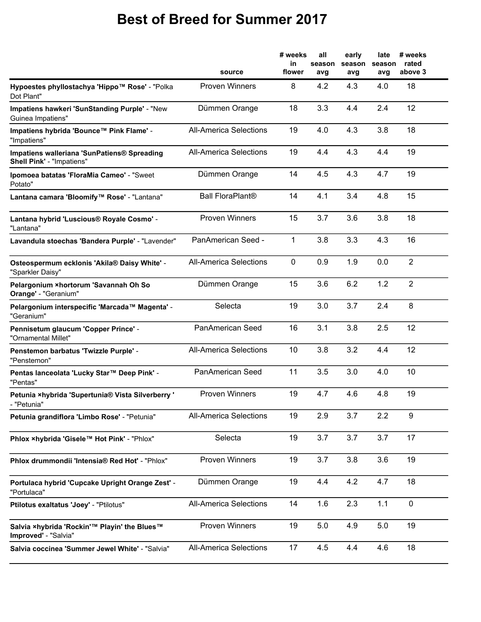## **Best of Breed for Summer 2017**

|                                                                                 | source                        | # weeks<br>in<br>flower | all<br>season<br>avg | early<br>season<br>avg | late<br>season<br>avg | # weeks<br>rated<br>above 3 |
|---------------------------------------------------------------------------------|-------------------------------|-------------------------|----------------------|------------------------|-----------------------|-----------------------------|
| Hypoestes phyllostachya 'Hippo™ Rose' - "Polka<br>Dot Plant"                    | <b>Proven Winners</b>         | 8                       | 4.2                  | 4.3                    | 4.0                   | 18                          |
| Impatiens hawkeri 'SunStanding Purple' - "New<br>Guinea Impatiens"              | Dümmen Orange                 | 18                      | 3.3                  | 4.4                    | 2.4                   | 12                          |
| Impatiens hybrida 'Bounce™ Pink Flame' -<br>"Impatiens"                         | <b>All-America Selections</b> | 19                      | 4.0                  | 4.3                    | 3.8                   | 18                          |
| Impatiens walleriana 'SunPatiens® Spreading<br><b>Shell Pink' - "Impatiens"</b> | <b>All-America Selections</b> | 19                      | 4.4                  | 4.3                    | 4.4                   | 19                          |
| Ipomoea batatas 'FloraMia Cameo' - "Sweet<br>Potato"                            | Dümmen Orange                 | 14                      | 4.5                  | 4.3                    | 4.7                   | 19                          |
| Lantana camara 'Bloomify™ Rose' - "Lantana"                                     | <b>Ball FloraPlant®</b>       | 14                      | 4.1                  | 3.4                    | 4.8                   | 15                          |
| Lantana hybrid 'Luscious® Royale Cosmo' -<br>"Lantana"                          | <b>Proven Winners</b>         | 15                      | 3.7                  | 3.6                    | 3.8                   | 18                          |
| Lavandula stoechas 'Bandera Purple' - "Lavender"                                | PanAmerican Seed -            | 1                       | 3.8                  | 3.3                    | 4.3                   | 16                          |
| Osteospermum ecklonis 'Akila® Daisy White' -<br>"Sparkler Daisy"                | <b>All-America Selections</b> | $\mathbf 0$             | 0.9                  | 1.9                    | 0.0                   | $\overline{2}$              |
| Pelargonium ×hortorum 'Savannah Oh So<br>Orange' - "Geranium"                   | Dümmen Orange                 | 15                      | 3.6                  | 6.2                    | 1.2                   | $\overline{2}$              |
| Pelargonium interspecific 'Marcada™ Magenta' -<br>"Geranium"                    | Selecta                       | 19                      | 3.0                  | 3.7                    | 2.4                   | 8                           |
| Pennisetum glaucum 'Copper Prince' -<br>"Ornamental Millet"                     | PanAmerican Seed              | 16                      | 3.1                  | 3.8                    | 2.5                   | 12                          |
| Penstemon barbatus 'Twizzle Purple' -<br>"Penstemon"                            | <b>All-America Selections</b> | 10                      | 3.8                  | 3.2                    | 4.4                   | 12                          |
| Pentas lanceolata 'Lucky Star™ Deep Pink' -<br>"Pentas"                         | PanAmerican Seed              | 11                      | 3.5                  | 3.0                    | 4.0                   | 10                          |
| Petunia ×hybrida 'Supertunia® Vista Silverberry '<br>- "Petunia"                | <b>Proven Winners</b>         | 19                      | 4.7                  | 4.6                    | 4.8                   | 19                          |
| Petunia grandiflora 'Limbo Rose' - "Petunia"                                    | <b>All-America Selections</b> | 19                      | 2.9                  | 3.7                    | 2.2                   | 9                           |
| Phlox ×hybrida 'Gisele™ Hot Pink' - "Phlox"                                     | Selecta                       | 19                      | 3.7                  | 3.7                    | 3.7                   | 17                          |
| Phlox drummondii 'Intensia® Red Hot' - "Phlox"                                  | <b>Proven Winners</b>         | 19                      | 3.7                  | 3.8                    | 3.6                   | 19                          |
| Portulaca hybrid 'Cupcake Upright Orange Zest' -<br>"Portulaca"                 | Dümmen Orange                 | 19                      | 4.4                  | 4.2                    | 4.7                   | 18                          |
| Ptilotus exaltatus 'Joey' - "Ptilotus"                                          | <b>All-America Selections</b> | 14                      | 1.6                  | 2.3                    | 1.1                   | $\pmb{0}$                   |
| Salvia ×hybrida 'Rockin'™ Playin' the Blues™<br>Improved' - "Salvia"            | <b>Proven Winners</b>         | 19                      | 5.0                  | 4.9                    | 5.0                   | 19                          |
| Salvia coccinea 'Summer Jewel White' - "Salvia"                                 | <b>All-America Selections</b> | 17                      | 4.5                  | 4.4                    | 4.6                   | 18                          |